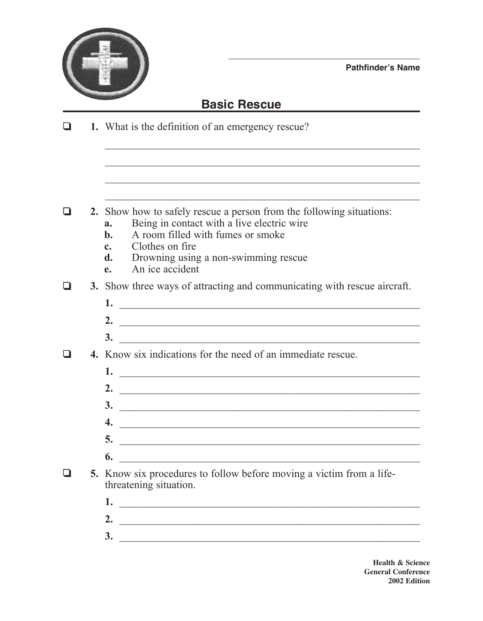

**Pathfinder's Name**

## **Basic Rescue**

 $\mathcal{L}_\text{max}$  , and the contract of the contract of the contract of the contract of the contract of the contract of the contract of the contract of the contract of the contract of the contract of the contract of the contr

 $\mathcal{L}_\text{max}$  , and the contract of the contract of the contract of the contract of the contract of the contract of the contract of the contract of the contract of the contract of the contract of the contract of the contr

 $\mathcal{L}_\text{max}$  , and the contract of the contract of the contract of the contract of the contract of the contract of the contract of the contract of the contract of the contract of the contract of the contract of the contr

❏ **1.** What is the definition of an emergency rescue?

- ❏ **2.** Show how to safely rescue a person from the following situations:
	- **a.** Being in contact with a live electric wire
	- **b.** A room filled with fumes or smoke
	- **c.** Clothes on fire
	- **d.** Drowning using a non-swimming rescue
	- **e.** An ice accident

❏ **3.** Show three ways of attracting and communicating with rescue aircraft.

- **1.** \_\_\_\_\_\_\_\_\_\_\_\_\_\_\_\_\_\_\_\_\_\_\_\_\_\_\_\_\_\_\_\_\_\_\_\_\_\_\_\_\_\_\_\_\_\_\_\_\_\_\_\_\_\_\_\_
- **2.** \_\_\_\_\_\_\_\_\_\_\_\_\_\_\_\_\_\_\_\_\_\_\_\_\_\_\_\_\_\_\_\_\_\_\_\_\_\_\_\_\_\_\_\_\_\_\_\_\_\_\_\_\_\_\_\_
- **3.** \_\_\_\_\_\_\_\_\_\_\_\_\_\_\_\_\_\_\_\_\_\_\_\_\_\_\_\_\_\_\_\_\_\_\_\_\_\_\_\_\_\_\_\_\_\_\_\_\_\_\_\_\_\_\_\_
- ❏ **4.** Know six indications for the need of an immediate rescue.
	- **1.** \_\_\_\_\_\_\_\_\_\_\_\_\_\_\_\_\_\_\_\_\_\_\_\_\_\_\_\_\_\_\_\_\_\_\_\_\_\_\_\_\_\_\_\_\_\_\_\_\_\_\_\_\_\_\_\_ **2.** \_\_\_\_\_\_\_\_\_\_\_\_\_\_\_\_\_\_\_\_\_\_\_\_\_\_\_\_\_\_\_\_\_\_\_\_\_\_\_\_\_\_\_\_\_\_\_\_\_\_\_\_\_\_\_\_ **3.** \_\_\_\_\_\_\_\_\_\_\_\_\_\_\_\_\_\_\_\_\_\_\_\_\_\_\_\_\_\_\_\_\_\_\_\_\_\_\_\_\_\_\_\_\_\_\_\_\_\_\_\_\_\_\_\_ **4.** \_\_\_\_\_\_\_\_\_\_\_\_\_\_\_\_\_\_\_\_\_\_\_\_\_\_\_\_\_\_\_\_\_\_\_\_\_\_\_\_\_\_\_\_\_\_\_\_\_\_\_\_\_\_\_\_ **5.** \_\_\_\_\_\_\_\_\_\_\_\_\_\_\_\_\_\_\_\_\_\_\_\_\_\_\_\_\_\_\_\_\_\_\_\_\_\_\_\_\_\_\_\_\_\_\_\_\_\_\_\_\_\_\_\_ **6.** \_\_\_\_\_\_\_\_\_\_\_\_\_\_\_\_\_\_\_\_\_\_\_\_\_\_\_\_\_\_\_\_\_\_\_\_\_\_\_\_\_\_\_\_\_\_\_\_\_\_\_\_\_\_\_\_
- ❏ **5.** Know six procedures to follow before moving a victim from a lifethreatening situation.
	- **1.** \_\_\_\_\_\_\_\_\_\_\_\_\_\_\_\_\_\_\_\_\_\_\_\_\_\_\_\_\_\_\_\_\_\_\_\_\_\_\_\_\_\_\_\_\_\_\_\_\_\_\_\_\_\_\_\_
	- **2.** \_\_\_\_\_\_\_\_\_\_\_\_\_\_\_\_\_\_\_\_\_\_\_\_\_\_\_\_\_\_\_\_\_\_\_\_\_\_\_\_\_\_\_\_\_\_\_\_\_\_\_\_\_\_\_\_
	- **3.** \_\_\_\_\_\_\_\_\_\_\_\_\_\_\_\_\_\_\_\_\_\_\_\_\_\_\_\_\_\_\_\_\_\_\_\_\_\_\_\_\_\_\_\_\_\_\_\_\_\_\_\_\_\_\_\_

**Health & Science General Conference 2002 Edition**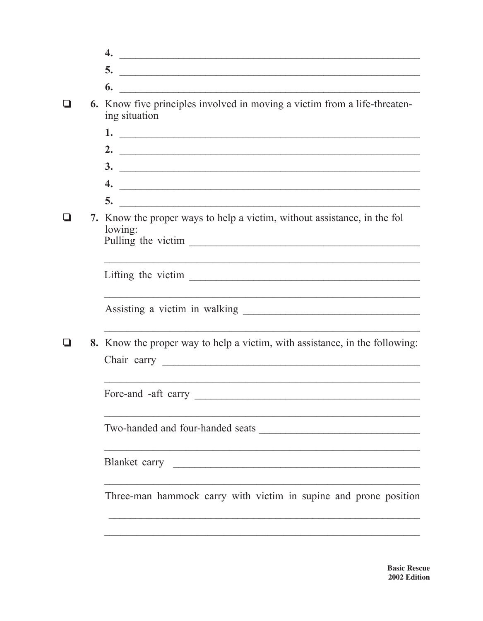|  | 4.                                                                                                                                                                                                                                         |
|--|--------------------------------------------------------------------------------------------------------------------------------------------------------------------------------------------------------------------------------------------|
|  | 5.<br><u> 1989 - Johann John Stein, mars an deus Amerikaansk kommunister (</u>                                                                                                                                                             |
|  | 6.<br><u> 2000 - Johann Johann Storm, mars and de British and de British and de British and de British and de British and de British and de British and de British and de British and de British and de British and de British and de </u> |
|  | 6. Know five principles involved in moving a victim from a life-threaten-<br>ing situation                                                                                                                                                 |
|  |                                                                                                                                                                                                                                            |
|  | 2. $\qquad \qquad$                                                                                                                                                                                                                         |
|  | $\frac{3}{2}$                                                                                                                                                                                                                              |
|  | $\overline{4.}$                                                                                                                                                                                                                            |
|  | 5.                                                                                                                                                                                                                                         |
|  | 7. Know the proper ways to help a victim, without assistance, in the fol<br>lowing:                                                                                                                                                        |
|  |                                                                                                                                                                                                                                            |
|  |                                                                                                                                                                                                                                            |
|  |                                                                                                                                                                                                                                            |
|  | 8. Know the proper way to help a victim, with assistance, in the following:                                                                                                                                                                |
|  |                                                                                                                                                                                                                                            |
|  |                                                                                                                                                                                                                                            |
|  | Two-handed and four-handed seats                                                                                                                                                                                                           |
|  |                                                                                                                                                                                                                                            |
|  | Three-man hammock carry with victim in supine and prone position                                                                                                                                                                           |
|  |                                                                                                                                                                                                                                            |
|  |                                                                                                                                                                                                                                            |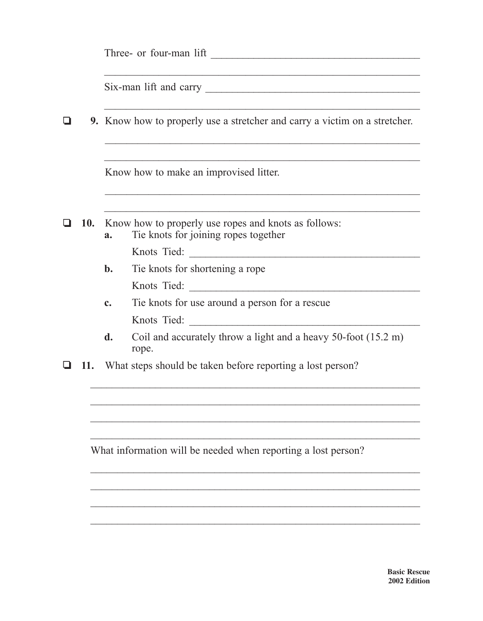|     | 9. Know how to properly use a stretcher and carry a victim on a stretcher.                         |                                                                                                                     |  |  |  |  |  |  |  |
|-----|----------------------------------------------------------------------------------------------------|---------------------------------------------------------------------------------------------------------------------|--|--|--|--|--|--|--|
|     | Know how to make an improvised litter.                                                             |                                                                                                                     |  |  |  |  |  |  |  |
| 10. | Know how to properly use ropes and knots as follows:<br>Tie knots for joining ropes together<br>a. |                                                                                                                     |  |  |  |  |  |  |  |
|     | $\mathbf{b}$ .                                                                                     | Tie knots for shortening a rope                                                                                     |  |  |  |  |  |  |  |
|     | $\mathbf{c}$ .                                                                                     | The knots for use around a person for a rescue<br><u> 1990 - Jan Stein Berlin, amerikan berlin b</u><br>Knots Tied: |  |  |  |  |  |  |  |
|     | d.                                                                                                 | Coil and accurately throw a light and a heavy 50-foot (15.2 m)<br>rope.                                             |  |  |  |  |  |  |  |
| 11. | What steps should be taken before reporting a lost person?                                         |                                                                                                                     |  |  |  |  |  |  |  |
|     |                                                                                                    |                                                                                                                     |  |  |  |  |  |  |  |
|     |                                                                                                    |                                                                                                                     |  |  |  |  |  |  |  |
|     |                                                                                                    | What information will be needed when reporting a lost person?                                                       |  |  |  |  |  |  |  |
|     |                                                                                                    |                                                                                                                     |  |  |  |  |  |  |  |
|     |                                                                                                    |                                                                                                                     |  |  |  |  |  |  |  |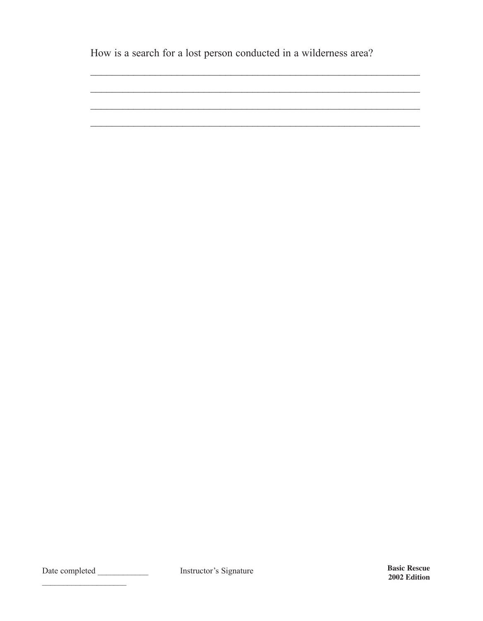How is a search for a lost person conducted in a wilderness area?

 $\sim$